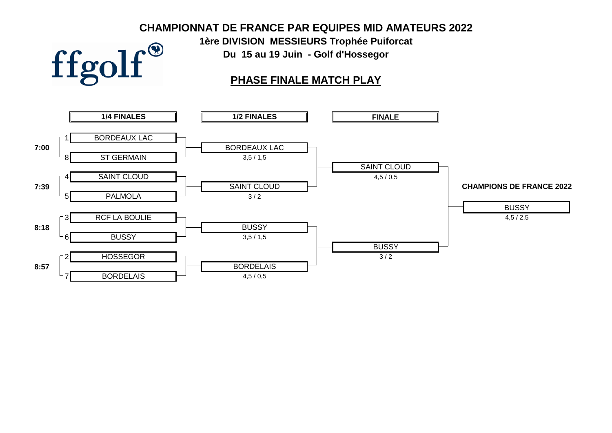### **CHAMPIONNAT DE FRANCE PAR EQUIPES MID AMATEURS 2022**

**1ère DIVISION MESSIEURS Trophée Puiforcat Du 15 au 19 Juin - Golf d'Hossegor**



ffgolf®

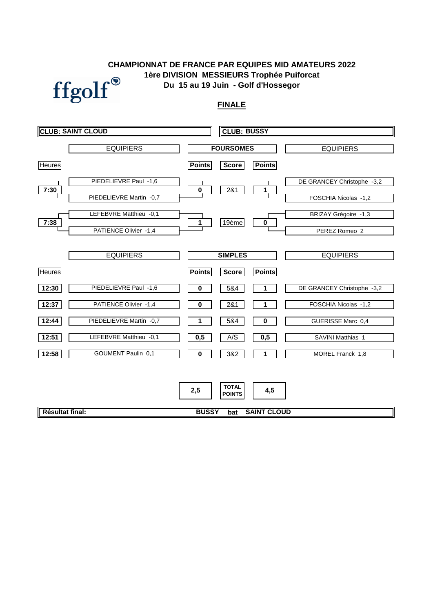### **1ère DIVISION MESSIEURS Trophée Puiforcat Du 15 au 19 Juin - Golf d'Hossegor CHAMPIONNAT DE FRANCE PAR EQUIPES MID AMATEURS 2022**



### **FINALE**

|                 | <b>CLUB: SAINT CLOUD</b>                            |                 | <b>CLUB: BUSSY</b>            |                    |                                              |
|-----------------|-----------------------------------------------------|-----------------|-------------------------------|--------------------|----------------------------------------------|
|                 | <b>EQUIPIERS</b>                                    |                 | <b>FOURSOMES</b>              |                    | <b>EQUIPIERS</b>                             |
| <b>Heures</b>   |                                                     | <b>Points</b>   | <b>Score</b>                  | <b>Points</b>      |                                              |
| 7:30            | PIEDELIEVRE Paul -1,6                               | $\pmb{0}$       | 281                           | 1                  | DE GRANCEY Christophe -3,2                   |
|                 | PIEDELIEVRE Martin -0,7<br>LEFEBVRE Matthieu -0,1   |                 |                               |                    | FOSCHIA Nicolas -1,2<br>BRIZAY Grégoire -1,3 |
| 7:38            | PATIENCE Olivier -1,4                               | $\mathbf 1$     | 19ème                         | $\pmb{0}$          | PEREZ Romeo 2                                |
|                 | <b>EQUIPIERS</b>                                    |                 | <b>SIMPLES</b>                |                    | <b>EQUIPIERS</b>                             |
| <b>Heures</b>   |                                                     | <b>Points</b>   | <b>Score</b>                  | <b>Points</b>      |                                              |
| 12:30           | PIEDELIEVRE Paul -1,6                               | 0               | 5&4                           |                    | DE GRANCEY Christophe -3,2                   |
| 12:37           | PATIENCE Olivier -1,4                               | 0               | 2&1                           | 1                  | FOSCHIA Nicolas -1,2                         |
| 12:44           | PIEDELIEVRE Martin -0,7                             | 1               | 5&4                           | 0                  | GUERISSE Marc 0,4                            |
| 12:51<br>12:58  | LEFEBVRE Matthieu -0,1<br><b>GOUMENT Paulin 0,1</b> | 0,5<br>$\bf{0}$ | A/S<br>3&2                    | 0,5<br>1           | SAVINI Matthias 1<br>MOREL Franck 1,8        |
|                 |                                                     |                 |                               |                    |                                              |
|                 |                                                     | 2,5             | <b>TOTAL</b><br><b>POINTS</b> | 4,5                |                                              |
| Résultat final: |                                                     | <b>BUSSY</b>    | bat                           | <b>SAINT CLOUD</b> |                                              |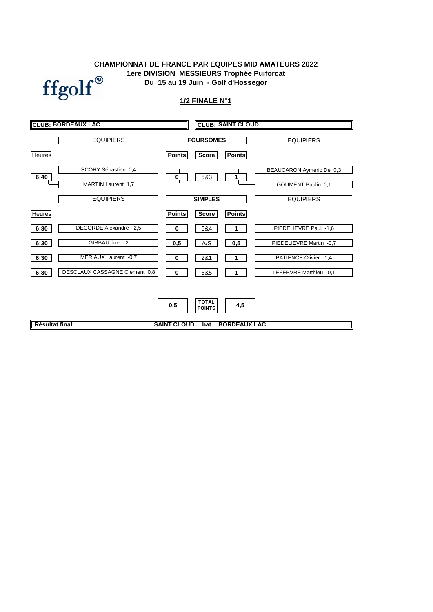### **CHAMPIONNAT DE FRANCE PAR EQUIPES MID AMATEURS 2022 1ère DIVISION MESSIEURS Trophée Puiforcat Du 15 au 19 Juin - Golf d'Hossegor**



### **1/2 FINALE N°1**

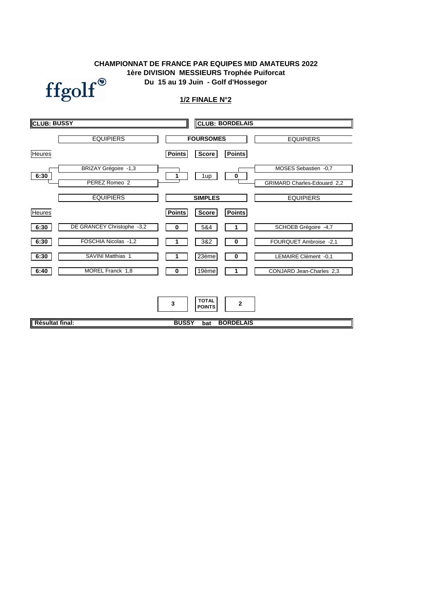### **CHAMPIONNAT DE FRANCE PAR EQUIPES MID AMATEURS 2022 Du 15 au 19 Juin - Golf d'Hossegor 1ère DIVISION MESSIEURS Trophée Puiforcat**



### **1/2 FINALE N°2**

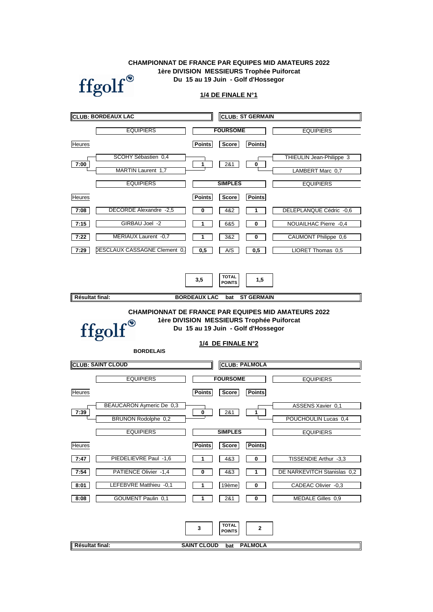### **Du 15 au 19 Juin - Golf d'Hossegor CHAMPIONNAT DE FRANCE PAR EQUIPES MID AMATEURS 2022 1ère DIVISION MESSIEURS Trophée Puiforcat**



### **1/4 DE FINALE N°1**

|                        | <b>CLUB: BORDEAUX LAC</b>    |                         |                                      | <b>CLUB: ST GERMAIN</b> |                             |
|------------------------|------------------------------|-------------------------|--------------------------------------|-------------------------|-----------------------------|
|                        | <b>EQUIPIERS</b>             |                         | <b>FOURSOME</b>                      |                         | <b>EQUIPIERS</b>            |
| <b>Heures</b>          |                              | <b>Points</b>           | Score                                | <b>Points</b>           |                             |
| 7:00                   | SCOHY Sébastien 0,4          | 1                       | 2&1                                  | 0                       | THIEULIN Jean-Philippe 3    |
|                        | MARTIN Laurent 1,7           |                         |                                      |                         | LAMBERT Marc 0,7            |
|                        | <b>EQUIPIERS</b>             |                         | <b>SIMPLES</b>                       |                         | <b>EQUIPIERS</b>            |
| <b>Heures</b>          |                              | <b>Points</b>           | Score                                | <b>Points</b>           |                             |
| 7:08                   | DECORDE Alexandre -2,5       | 0                       | 4&2                                  | 1                       | DELEPLANQUE Cédric -0,6     |
| 7:15                   | GIRBAU Joel -2               | 1                       | 6&5                                  | 0                       | NOUAILHAC Pierre -0,4       |
| 7:22                   | MERIAUX Laurent -0,7         | 1                       | 3&2                                  | 0                       | CAUMONT Philippe 0,6        |
| 7:29                   | DESCLAUX CASSAGNE Clement 0, | 0,5                     | A/S                                  | 0,5                     | LIORET Thomas 0.5           |
|                        |                              |                         |                                      |                         |                             |
|                        |                              | 3,5                     | <b>TOTAL</b><br><b>POINTS</b>        | 1,5                     |                             |
| Résultat final:        |                              | <b>BORDEAUX LAC</b>     | bat                                  | <b>ST GERMAIN</b>       |                             |
|                        | ffgolf®<br><b>BORDELAIS</b>  |                         | 1/4 DE FINALE N°2                    |                         |                             |
|                        | <b>CLUB: SAINT CLOUD</b>     |                         |                                      | <b>CLUB: PALMOLA</b>    |                             |
|                        | <b>EQUIPIERS</b>             |                         | <b>FOURSOME</b>                      |                         | <b>EQUIPIERS</b>            |
| <b>Heures</b>          |                              | <b>Points</b>           |                                      |                         |                             |
| 7:39                   |                              |                         | <b>Score</b>                         | <b>Points</b>           |                             |
|                        | BEAUCARON Aymeric De 0,3     |                         |                                      |                         | ASSENS Xavier 0,1           |
|                        | <b>BRUNON Rodolphe 0,2</b>   | 0                       | 2&1                                  | 1                       | POUCHOULIN Lucas 0,4        |
|                        | <b>EQUIPIERS</b>             |                         | <b>SIMPLES</b>                       |                         | <b>EQUIPIERS</b>            |
| <b>Heures</b>          |                              | <b>Points</b>           | Score                                | <b>Points</b>           |                             |
| 7:47                   | PIEDELIEVRE Paul -1,6        | 1                       | 4&3                                  | 0                       | TISSENDIE Arthur -3,3       |
| 7:54                   | PATIENCE Olivier -1,4        | 0                       | 4&3                                  | 1                       | DE NARKEVITCH Stanislas 0,2 |
| 8:01                   | LEFEBVRE Matthieu -0,1       | 1                       | 19ème                                | 0                       | CADEAC Olivier -0,3         |
| 8:08                   | GOUMENT Paulin 0,1           | 1                       | 2&1                                  | 0                       | MEDALE Gilles 0,9           |
| <b>Résultat final:</b> |                              | 3<br><b>SAINT CLOUD</b> | <b>TOTAL</b><br><b>POINTS</b><br>bat | 2<br><b>PALMOLA</b>     |                             |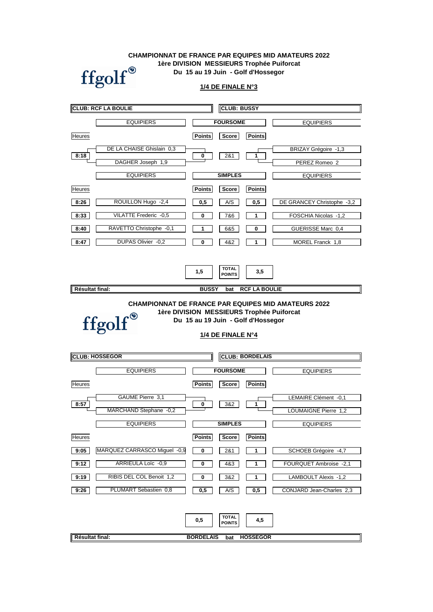**CHAMPIONNAT DE FRANCE PAR EQUIPES MID AMATEURS 2022 1ère DIVISION MESSIEURS Trophée Puiforcat Du 15 au 19 Juin - Golf d'Hossegor**



**1/4 DE FINALE N°3**

|                 | <b>CLUB: RCF LA BOULIE</b>       |               | <b>CLUB: BUSSY</b>                          |                      |                            |
|-----------------|----------------------------------|---------------|---------------------------------------------|----------------------|----------------------------|
|                 | <b>EQUIPIERS</b>                 |               | <b>FOURSOME</b>                             |                      | <b>EQUIPIERS</b>           |
| <b>Heures</b>   |                                  | Points        | Score                                       | <b>Points</b>        |                            |
|                 | DE LA CHAISE Ghislain 0.3        |               |                                             |                      | BRIZAY Grégoire -1,3       |
| 8:18            | DAGHER Joseph 1,9                | 0             | 2&1                                         | 1                    | PEREZ Romeo 2              |
|                 | <b>EQUIPIERS</b>                 |               | <b>SIMPLES</b>                              |                      | <b>EQUIPIERS</b>           |
| <b>Heures</b>   |                                  | <b>Points</b> | Score                                       | <b>Points</b>        |                            |
| 8:26            | ROUILLON Hugo -2,4               | 0,5           | A/S                                         | 0,5                  | DE GRANCEY Christophe -3,2 |
| 8:33            | VILATTE Frederic -0,5            | 0             | 7&6                                         | 1                    | FOSCHIA Nicolas -1,2       |
| 8:40            | RAVETTO Christophe -0,1          | 1             | 6&5                                         | 0                    | GUERISSE Marc 0,4          |
| 8:47            | DUPAS Olivier -0,2               | 0             | 4&2                                         | 1                    | MOREL Franck 1,8           |
|                 |                                  | 1,5           | <b>TOTAL</b><br><b>POINTS</b>               | 3,5                  |                            |
| Résultat final: |                                  | <b>BUSSY</b>  | bat                                         | <b>RCF LA BOULIE</b> |                            |
|                 | ffgolf®<br><b>CLUB: HOSSEGOR</b> |               | 1/4 DE FINALE N°4<br><b>CLUB: BORDELAIS</b> |                      |                            |
|                 |                                  |               |                                             |                      |                            |
|                 | <b>EQUIPIERS</b>                 |               | <b>FOURSOME</b>                             |                      | <b>EQUIPIERS</b>           |
| <b>Heures</b>   |                                  | <b>Points</b> | Score                                       | <b>Points</b>        |                            |
| 8:57            | <b>GAUME Pierre 3.1</b>          | 0             | 3&2                                         |                      | LEMAIRE Clément -0,1       |
|                 | MARCHAND Stephane -0,2           |               |                                             |                      | LOUMAIGNE Pierre 1,2       |
|                 | <b>EQUIPIERS</b>                 |               | <b>SIMPLES</b>                              |                      | <b>EQUIPIERS</b>           |
| <b>Heures</b>   |                                  | Points        | Score                                       | <b>Points</b>        |                            |
| 9:05            | MARQUEZ CARRASCO Miguel -0,9     | 0             | 2&1                                         | 1                    | SCHOEB Grégoire -4,7       |
| 9:12            |                                  |               |                                             |                      |                            |
|                 | ARRIEULA Loïc -0,9               | 0             | 4&3                                         | 1                    | FOURQUET Ambroise -2,1     |
| 9:19            | RIBIS DEL COL Benoit 1,2         | 0             | 3&2                                         | 1                    | LAMBOULT Alexis -1,2       |
| 9:26            | PLUMART Sebastien 0,8            | 0,5           | A/S                                         | 0,5                  | CONJARD Jean-Charles 2,3   |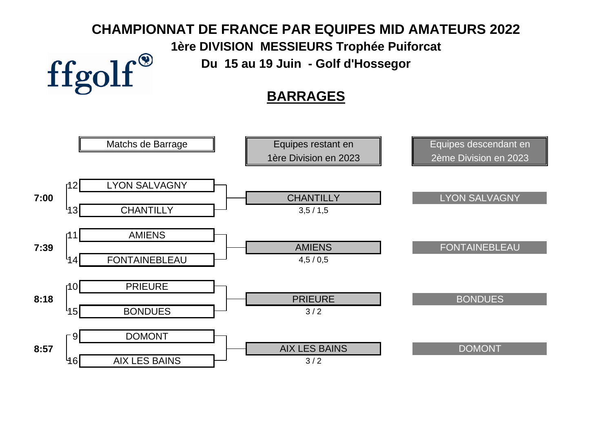# **CHAMPIONNAT DE FRANCE PAR EQUIPES MID AMATEURS 2022**

**1ère DIVISION MESSIEURS Trophée Puiforcat**

**Du 15 au 19 Juin - Golf d'Hossegor**

ffgolf®

## **BARRAGES**

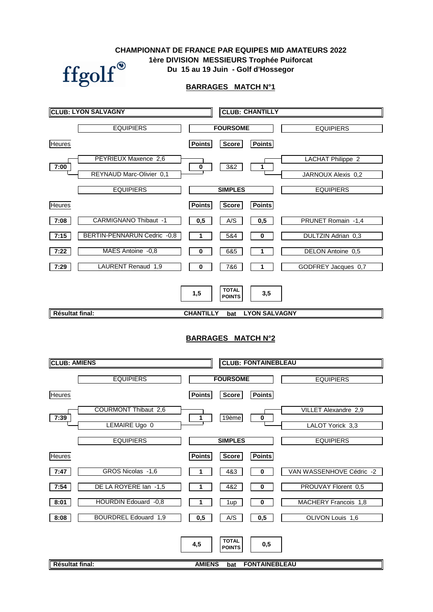### **CHAMPIONNAT DE FRANCE PAR EQUIPES MID AMATEURS 2022 1ère DIVISION MESSIEURS Trophée Puiforcat**  $\operatorname{ffgolf}^{\circledast}$ **Du 15 au 19 Juin - Golf d'Hossegor**



ī

|                     | <b>CLUB: LYON SALVAGNY</b>   | <b>CLUB: CHANTILLY</b>                                                 |                          |
|---------------------|------------------------------|------------------------------------------------------------------------|--------------------------|
|                     | <b>EQUIPIERS</b>             | <b>FOURSOME</b>                                                        | <b>EQUIPIERS</b>         |
| <b>Heures</b>       |                              | <b>Points</b><br><b>Points</b><br><b>Score</b>                         |                          |
|                     | PEYRIEUX Maxence 2,6         | 382                                                                    | <b>LACHAT Philippe 2</b> |
| 7:00                | REYNAUD Marc-Olivier 0,1     | $\mathbf 0$<br>1                                                       | JARNOUX Alexis 0,2       |
|                     | <b>EQUIPIERS</b>             | <b>SIMPLES</b>                                                         | <b>EQUIPIERS</b>         |
| <b>Heures</b>       |                              | <b>Points</b><br><b>Points</b><br><b>Score</b>                         |                          |
| 7:08                | <b>CARMIGNANO Thibaut -1</b> | 0,5<br>A/S<br>0,5                                                      | PRUNET Romain -1,4       |
| 7:15                | BERTIN-PENNARUN Cedric -0,8  | 1<br>5&4<br>0                                                          | DULTZIN Adrian 0,3       |
| 7:22                | MAES Antoine -0,8            | 0<br>6&5<br>1                                                          | DELON Antoine 0,5        |
| 7:29                | LAURENT Renaud 1,9           | 0<br>7&6<br>1                                                          | GODFREY Jacques 0,7      |
| Résultat final:     |                              | <b>TOTAL</b><br>3,5<br>1,5<br><b>POINTS</b><br><b>CHANTILLY</b><br>bat | <b>LYON SALVAGNY</b>     |
|                     |                              |                                                                        |                          |
| <b>CLUB: AMIENS</b> |                              | <b>BARRAGES MATCH N°2</b><br><b>CLUB: FONTAINEBLEAU</b>                |                          |
|                     |                              |                                                                        |                          |
|                     | <b>EQUIPIERS</b>             | <b>FOURSOME</b>                                                        | <b>EQUIPIERS</b>         |
| <b>Heures</b>       |                              | <b>Points</b><br><b>Points</b><br><b>Score</b>                         |                          |
| 7:39                | <b>COURMONT Thibaut 2,6</b>  | 19ème<br>$\mathbf 1$<br>$\pmb{0}$                                      | VILLET Alexandre 2,9     |
|                     | LEMAIRE Ugo 0                |                                                                        | LALOT Yorick 3,3         |
|                     | <b>EQUIPIERS</b>             | <b>SIMPLES</b>                                                         | <b>EQUIPIERS</b>         |
| <b>Heures</b>       |                              | Score<br><b>Points</b><br><b>Points</b>                                |                          |
| 7:47                |                              |                                                                        |                          |
|                     | GROS Nicolas -1,6            | 4&3<br>1<br>0                                                          | VAN WASSENHOVE Cédric -2 |
| 7:54                | DE LA ROYERE Ian -1,5        | 4&2<br>0<br>1                                                          | PROUVAY Florent 0,5      |
| 8:01                | HOURDIN Edouard -0,8         | 1<br>$\pmb{0}$<br>1up                                                  | MACHERY Francois 1,8     |
| 8:08                | <b>BOURDREL Edouard 1,9</b>  | A/S<br>0,5<br>0,5                                                      | OLIVON Louis 1,6         |

**Résultat final:**

**bat AMIENS FONTAINEBLEAU**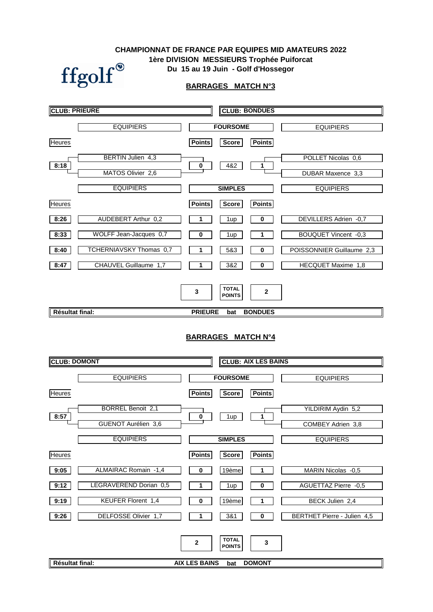### **Du 15 au 19 Juin - Golf d'Hossegor CHAMPIONNAT DE FRANCE PAR EQUIPES MID AMATEURS 2022 1ère DIVISION MESSIEURS Trophée Puiforcat**



### **BARRAGES MATCH N°3**

| <b>CLUB: PRIEURE</b> |                          |                                |                                      | <b>CLUB: BONDUES</b>           |                             |
|----------------------|--------------------------|--------------------------------|--------------------------------------|--------------------------------|-----------------------------|
|                      | <b>EQUIPIERS</b>         |                                | <b>FOURSOME</b>                      |                                | <b>EQUIPIERS</b>            |
| <b>Heures</b>        |                          | <b>Points</b>                  | <b>Score</b>                         | <b>Points</b>                  |                             |
| 8:18                 | <b>BERTIN Julien 4,3</b> | 0                              | 4&2                                  | 1                              | POLLET Nicolas 0,6          |
|                      | MATOS Olivier 2,6        |                                |                                      |                                | DUBAR Maxence 3,3           |
|                      | <b>EQUIPIERS</b>         |                                | <b>SIMPLES</b>                       |                                | <b>EQUIPIERS</b>            |
| Heures               |                          | <b>Points</b>                  | <b>Score</b>                         | <b>Points</b>                  |                             |
| 8:26                 | AUDEBERT Arthur 0,2      |                                | 1 <sub>up</sub>                      | 0                              | DEVILLERS Adrien -0,7       |
| 8:33                 | WOLFF Jean-Jacques 0,7   | 0                              | 1up                                  | 1                              | <b>BOUQUET Vincent -0,3</b> |
| 8:40                 | TCHERNIAVSKY Thomas 0,7  |                                | 5&3                                  | 0                              | POISSONNIER Guillaume 2,3   |
| 8:47                 | CHAUVEL Guillaume 1,7    |                                | 3&2                                  | 0                              | HECQUET Maxime 1,8          |
| Résultat final:      |                          | $\mathbf{3}$<br><b>PRIEURE</b> | <b>TOTAL</b><br><b>POINTS</b><br>bat | $\mathbf{2}$<br><b>BONDUES</b> |                             |

### **BARRAGES MATCH N°4**

| <b>CLUB: DOMONT</b> |                           |                         |                               | <b>CLUB: AIX LES BAINS</b> |                                    |
|---------------------|---------------------------|-------------------------|-------------------------------|----------------------------|------------------------------------|
|                     | <b>EQUIPIERS</b>          |                         | <b>FOURSOME</b>               |                            | <b>EQUIPIERS</b>                   |
| <b>Heures</b>       |                           | <b>Points</b>           | <b>Score</b>                  | <b>Points</b>              |                                    |
| 8:57                | <b>BORREL Benoit 2,1</b>  |                         |                               |                            | YILDIRIM Aydin 5,2                 |
|                     | GUENOT Aurélien 3,6       | $\overline{\mathbf{0}}$ | 1up                           | 1                          | COMBEY Adrien 3,8                  |
|                     | <b>EQUIPIERS</b>          |                         | <b>SIMPLES</b>                |                            | <b>EQUIPIERS</b>                   |
| <b>Heures</b>       |                           | <b>Points</b>           | <b>Score</b>                  | <b>Points</b>              |                                    |
| 9:05                | ALMAIRAC Romain -1,4      | 0                       | 19ème                         |                            | MARIN Nicolas -0,5                 |
| 9:12                | LEGRAVEREND Dorian 0,5    |                         | 1 <sub>up</sub>               | 0                          | AGUETTAZ Pierre -0,5               |
| 9:19                | <b>KEUFER Florent 1,4</b> | 0                       | 19ème                         |                            | BECK Julien 2,4                    |
| 9:26                | DELFOSSE Olivier 1,7      |                         | 3&1                           | $\bf{0}$                   | <b>BERTHET Pierre - Julien 4,5</b> |
|                     |                           | $\mathbf 2$             | <b>TOTAL</b><br><b>POINTS</b> | 3                          |                                    |
| Résultat final:     |                           | <b>AIX LES BAINS</b>    | bat                           | <b>DOMONT</b>              |                                    |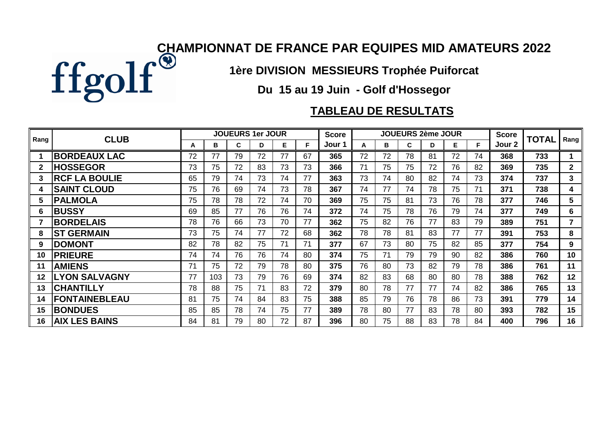

**1ère DIVISION MESSIEURS Trophée Puiforcat**

**Du 15 au 19 Juin - Golf d'Hossegor**

### **TABLEAU DE RESULTATS**

|         | <b>CLUB</b>          |    |     |    | JOUEURS 1er JOUR |    |    | <b>Score</b> |    |    | <b>JOUEURS 2ème JOUR</b> |    |    |    | <b>Score</b> | <b>TOTAL</b> |                |
|---------|----------------------|----|-----|----|------------------|----|----|--------------|----|----|--------------------------|----|----|----|--------------|--------------|----------------|
| Rang    |                      | A  | в   | C  | D                | Е  | F  | Jour 1       | A  | в  | C                        | D  | Е  | F  | Jour 2       |              | Rang           |
|         | <b>BORDEAUX LAC</b>  | 72 | 77  | 79 | 72               | 77 | 67 | 365          | 72 | 72 | 78                       | 81 | 72 | 74 | 368          | 733          |                |
|         | <b>HOSSEGOR</b>      | 73 | 75  | 72 | 83               | 73 | 73 | 366          | 71 | 75 | 75                       | 72 | 76 | 82 | 369          | 735          | 2 <sup>1</sup> |
| 3       | <b>RCF LA BOULIE</b> | 65 | 79  | 74 | 73               | 74 | 77 | 363          | 73 | 74 | 80                       | 82 | 74 | 73 | 374          | 737          | 3              |
| 4       | <b>SAINT CLOUD</b>   | 75 | 76  | 69 | 74               | 73 | 78 | 367          | 74 | 77 | 74                       | 78 | 75 | 71 | 371          | 738          | 4              |
| 5       | <b>PALMOLA</b>       | 75 | 78  | 78 | 72               | 74 | 70 | 369          | 75 | 75 | 81                       | 73 | 76 | 78 | 377          | 746          | 5              |
| 6       | <b>BUSSY</b>         | 69 | 85  | 77 | 76               | 76 | 74 | 372          | 74 | 75 | 78                       | 76 | 79 | 74 | 377          | 749          | 6              |
|         | <b>BORDELAIS</b>     | 78 | 76  | 66 | 73               | 70 | 77 | 362          | 75 | 82 | 76                       | 77 | 83 | 79 | 389          | 751          | $\overline{7}$ |
| 8       | <b>ST GERMAIN</b>    | 73 | 75  | 74 | 77               | 72 | 68 | 362          | 78 | 78 | 81                       | 83 | 77 | 77 | 391          | 753          | 8              |
| 9       | <b>DOMONT</b>        | 82 | 78  | 82 | 75               | 71 | 71 | 377          | 67 | 73 | 80                       | 75 | 82 | 85 | 377          | 754          | 9              |
| 10      | <b>PRIEURE</b>       | 74 | 74  | 76 | 76               | 74 | 80 | 374          | 75 | 71 | 79                       | 79 | 90 | 82 | 386          | 760          | 10             |
| 11      | <b>AMIENS</b>        | 71 | 75  | 72 | 79               | 78 | 80 | 375          | 76 | 80 | 73                       | 82 | 79 | 78 | 386          | 761          | 11             |
| $12 \,$ | <b>LYON SALVAGNY</b> | 77 | 103 | 73 | 79               | 76 | 69 | 374          | 82 | 83 | 68                       | 80 | 80 | 78 | 388          | 762          | 12             |
| 13      | <b>CHANTILLY</b>     | 78 | 88  | 75 | 71               | 83 | 72 | 379          | 80 | 78 | 77                       | 77 | 74 | 82 | 386          | 765          | 13             |
| 14      | <b>FONTAINEBLEAU</b> | 81 | 75  | 74 | 84               | 83 | 75 | 388          | 85 | 79 | 76                       | 78 | 86 | 73 | 391          | 779          | 14             |
| 15      | <b>BONDUES</b>       | 85 | 85  | 78 | 74               | 75 | 77 | 389          | 78 | 80 | 77                       | 83 | 78 | 80 | 393          | 782          | 15             |
| 16      | <b>AIX LES BAINS</b> | 84 | 81  | 79 | 80               | 72 | 87 | 396          | 80 | 75 | 88                       | 83 | 78 | 84 | 400          | 796          | 16             |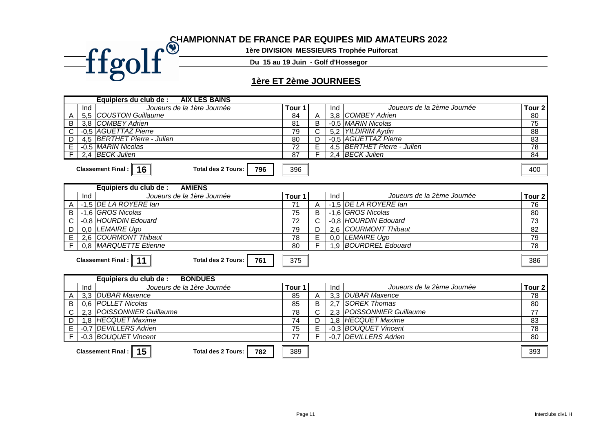### **CHAMPIONNAT DE FRANCE PAR EQUIPES MID AMATEURS 2022**

**1ère DIVISION MESSIEURS Trophée Puiforcat**

**Du 15 au 19 Juin - Golf d'Hossegor**

### **1ère ET 2ème JOURNEES**

|                              | Equipiers du club de :              | <b>AIX LES BAINS</b>             |                   |                |     |                               |                   |
|------------------------------|-------------------------------------|----------------------------------|-------------------|----------------|-----|-------------------------------|-------------------|
| Ind                          |                                     | Joueurs de la 1ère Journée       | Tour <sub>1</sub> |                | Ind | Joueurs de la 2ème Journée    | Tour 2            |
| 5,5<br>Α                     | <b>COUSTON Guillaume</b>            |                                  | 84                | A              |     | 3,8 COMBEY Adrien             | 80                |
| $\overline{B}$<br>3,8        | <b>COMBEY Adrien</b>                |                                  | $\overline{81}$   | $\overline{B}$ |     | -0.5 MARIN Nicolas            | 75                |
| $\overline{C}$               | -0.5 AGUETTAZ Pierre                |                                  | 79                | $\overline{C}$ |     | 5,2 YILDIRIM Aydin            | $\overline{88}$   |
| $\overline{D}$<br>4.5        | <b>BERTHET Pierre - Julien</b>      |                                  | 80                | D              |     | -0.5 AGUETTAZ Pierre          | 83                |
| Έ                            | -0.5 MARIN Nicolas                  |                                  | $\overline{72}$   | E              |     | 4,5   BERTHET Pierre - Julien | 78                |
| $\overline{F}$               | 2,4 BECK Julien                     |                                  | $\overline{87}$   |                |     | 2,4 BECK Julien               | $\overline{84}$   |
|                              | Classement Final :   16             | <b>Total des 2 Tours:</b><br>796 | 396               |                |     |                               | 400               |
|                              | Equipiers du club de :              | <b>AMIENS</b>                    |                   |                |     |                               |                   |
| Ind                          |                                     | Joueurs de la 1ère Journée       | Tour <sub>1</sub> |                | Ind | Joueurs de la 2ème Journée    | Tour <sub>2</sub> |
| A                            | -1,5 DE LA ROYERE lan               |                                  | 71                | A              |     | -1,5 DE LA ROYERE Ian         | $\overline{76}$   |
| $\sf B$                      | -1,6 GROS Nicolas                   |                                  | 75                | B              |     | -1,6 GROS Nicolas             | 80                |
| $\mathsf C$                  | -0,8 HOURDIN Edouard                |                                  | $\overline{72}$   | $\overline{C}$ |     | -0.8 HOURDIN Edouard          | $\overline{73}$   |
| D<br>0.0                     | LEMAIRE Ugo                         |                                  | 79                | D              | 2,6 | <b>COURMONT Thibaut</b>       | 82                |
| $\overline{E}$               | 2,6 COURMONT Thibaut                |                                  | 78                | $\overline{E}$ |     | 0,0 LEMAIRE Ugo               | 79                |
| F                            | 0.8 MARQUETTE Etienne               |                                  | 80                | F              |     | 1.9 BOURDREL Edouard          | 78                |
|                              | Classement Final :   11             | <b>Total des 2 Tours:</b><br>761 | 375               |                |     |                               | 386               |
|                              | Equipiers du club de :              | <b>BONDUES</b>                   |                   |                |     |                               |                   |
| Ind                          |                                     | Joueurs de la 1ère Journée       | Tour <sub>1</sub> |                | Ind | Joueurs de la 2ème Journée    | Tour <sub>2</sub> |
| A                            | 3,3 DUBAR Maxence                   |                                  | 85                | Α              |     | 3,3 DUBAR Maxence             | 78                |
| $\overline{B}$<br>0.6        | <b>POLLET Nicolas</b>               |                                  | 85                | B              | 2,7 | ISOREK Thomas                 | 80                |
| $\overline{\text{c}}$<br>2,3 | <b>POISSONNIER Guillaume</b>        |                                  | 78                | C              |     | 2,3   POISSONNIER Guillaume   | $\overline{77}$   |
| $\overline{D}$<br>1.8        | <b>HECQUET Maxime</b>               |                                  | $\overline{74}$   | D              |     | 1,8 HECQUET Maxime            | $\overline{83}$   |
| E<br>$-0.7$                  | <b>DEVILLERS Adrien</b>             |                                  | 75                | E              |     | -0.3 BOUQUET Vincent          | $\overline{78}$   |
| $\overline{F}$               | -0.3 BOUQUET Vincent                |                                  | 77                |                |     | -0.7 DEVILLERS Adrien         | 80                |
|                              | Classement Final : $\vert \vert$ 15 | <b>Total des 2 Tours:</b><br>782 | 389               |                |     |                               | 393               |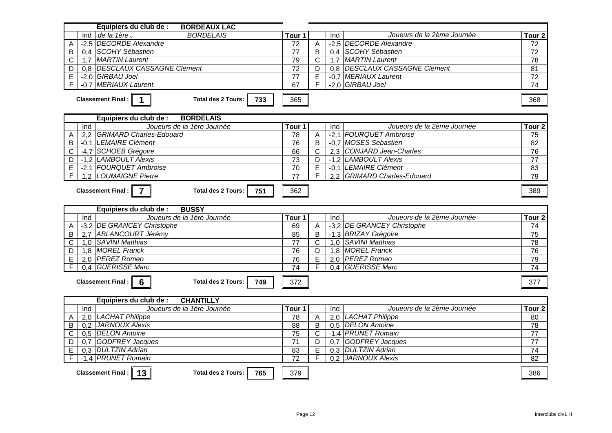| Equipiers du club de :<br><b>BORDEAUX LAC</b>                                  |                 |                |     |                               |                   |
|--------------------------------------------------------------------------------|-----------------|----------------|-----|-------------------------------|-------------------|
| <b>BORDELAIS</b><br>Ind de la 1ère.                                            | Tour 1          |                | Ind | Joueurs de la 2ème Journée    | Tour <sub>2</sub> |
| -2,5 DECORDE Alexandre<br>A                                                    | 72              | A              |     | -2,5 DECORDE Alexandre        | 72                |
| 0.4 SCOHY Sébastien<br>B                                                       | $\overline{77}$ | $\overline{B}$ |     | 0.4 SCOHY Sébastien           | 72                |
| 1,7 MARTIN Laurent<br>C                                                        | 79              | $\mathsf{C}$   |     | 1,7 MARTIN Laurent            | 78                |
| 0,8 DESCLAUX CASSAGNE Clement<br>D                                             | $\overline{72}$ | D              |     | 0,8 DESCLAUX CASSAGNE Clement | 81                |
| E<br>-2,0 GIRBAU Joel                                                          | $\overline{77}$ | E              |     | -0,7 MERIAUX Laurent          | $\overline{72}$   |
| -0,7 MERIAUX Laurent<br>F                                                      | 67              | F              |     | -2,0 GIRBAU Joel              | $\overline{74}$   |
| $\overline{1}$<br><b>Total des 2 Tours:</b><br><b>Classement Final:</b><br>733 | 365             |                |     |                               | 368               |
| Equipiers du club de :<br><b>BORDELAIS</b>                                     |                 |                |     |                               |                   |
| Joueurs de la 1ère Journée<br>Ind                                              | Tour 1          |                | Ind | Joueurs de la 2ème Journée    | Tour <sub>2</sub> |
| 2.2 GRIMARD Charles-Edouard<br>Α                                               | 78              | A              |     | -2,1 FOURQUET Ambroise        | 75                |
| -0.1 LEMAIRE Clément<br>B                                                      | $\overline{76}$ | $\overline{B}$ |     | -0.7 MOSES Sebastien          | $\overline{82}$   |
| -4,7 SCHOEB Grégoire<br>$\mathsf C$                                            | 66              | $\mathsf{C}$   |     | 2,3 CONJARD Jean-Charles      | 76                |
| -1,2 LAMBOULT Alexis<br>D                                                      | 73              | D              |     | -1,2 LAMBOULT Alexis          | $\overline{77}$   |
| -2,1 FOURQUET Ambroise<br>E                                                    | $\overline{70}$ | E              |     | -0,1 LEMAIRE Clément          | $\overline{83}$   |
| 1.2 LOUMAIGNE Pierre<br>F                                                      | $\overline{77}$ | F              |     | 2,2 GRIMARD Charles-Edouard   | 79                |
| <b>Classement Final:</b><br><b>Total des 2 Tours:</b><br>$\overline{7}$<br>751 | 362             |                |     |                               | 389               |
|                                                                                |                 |                |     |                               |                   |
| Equipiers du club de :<br><b>BUSSY</b>                                         |                 |                |     |                               |                   |
| Joueurs de la 1ère Journée<br>Ind                                              | Tour 1          |                | Ind | Joueurs de la 2ème Journée    | Tour <sub>2</sub> |
| -3,2 DE GRANCEY Christophe<br>Α                                                | 69              | Α              |     | -3,2 DE GRANCEY Christophe    | 74                |
| 2.7 ABLANCOURT Jérémy<br>B                                                     | 85              | B              |     | -1,3 BRIZAY Grégoire          | $\overline{75}$   |
| 1,0 SAVINI Matthias<br>$\mathsf C$                                             | $\overline{77}$ | $\mathsf{C}$   |     | 1,0 SAVINI Matthias           | $\overline{78}$   |
| 1,8 MOREL Franck<br>D                                                          | 76              | D              |     | 1,8 MOREL Franck              | 76                |
| 2,0 PEREZ Romeo<br>E                                                           | 76              | E              |     | 2,0 PEREZ Romeo               | 79                |
| 0,4 GUERISSE Marc<br>F                                                         | $\overline{74}$ | F              |     | 0,4 GUERISSE Marc             | $\overline{74}$   |
| <b>Total des 2 Tours:</b><br><b>Classement Final:</b><br>6<br>749              | 372             |                |     |                               | 377               |
| Equipiers du club de :<br><b>CHANTILLY</b>                                     |                 |                |     |                               |                   |
| Joueurs de la 1ère Journée<br>Ind                                              | Tour 1          |                | Ind | Joueurs de la 2ème Journée    | Tour <sub>2</sub> |
| 2,0 LACHAT Philippe<br>A                                                       | $\overline{78}$ | A              |     | 2,0 LACHAT Philippe           | 80                |
| 0.2 JARNOUX Alexis<br>B                                                        | $\overline{88}$ | $\overline{B}$ |     | 0.5 DELON Antoine             | 78                |
| 0.5 DELON Antoine<br>C                                                         | $\overline{75}$ | $\mathsf{C}$   |     | -1,4 PRUNET Romain            | $\overline{77}$   |
| 0,7 GODFREY Jacques<br>D                                                       | $\overline{71}$ | D              |     | 0,7 GODFREY Jacques           | 77                |
| 0.3 DULTZIN Adrian<br>E                                                        | 83              | E              |     | 0,3 DULTZIN Adrian            | 74                |
| -1.4 PRUNET Romain<br>F                                                        | $\overline{72}$ | F              |     | 0.2 JARNOUX Alexis            | 82                |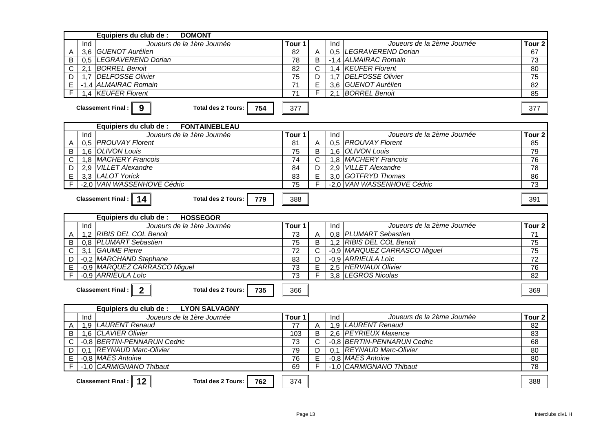| Equipiers du club de :<br><b>DOMONT</b>                                                |                   |                         |     |                              |                   |  |  |  |
|----------------------------------------------------------------------------------------|-------------------|-------------------------|-----|------------------------------|-------------------|--|--|--|
| Joueurs de la 1ère Journée<br>Ind                                                      | Tour 1            |                         | Ind | Joueurs de la 2ème Journée   | Tour <sub>2</sub> |  |  |  |
| 3.6 GUENOT Aurélien<br>A                                                               | 82                | A                       |     | 0.5 LEGRAVEREND Dorian       | 67                |  |  |  |
| 0.5 LEGRAVEREND Dorian<br>B                                                            | 78                | B                       |     | -1,4 ALMAIRAC Romain         | $\overline{73}$   |  |  |  |
| 2.1 BORREL Benoit<br>C                                                                 | 82                | $\mathsf{C}$            |     | 1,4 KEUFER Florent           | 80                |  |  |  |
| 1,7 DELFOSSE Olivier<br>D                                                              | 75                | D                       |     | 1,7 DELFOSSE Olivier         | $\overline{75}$   |  |  |  |
| -1.4 ALMAIRAC Romain<br>E                                                              | $\overline{71}$   | E                       |     | 3,6 GUENOT Aurélien          | $\overline{82}$   |  |  |  |
| F<br>1,4 KEUFER Florent                                                                | $\overline{71}$   | F                       |     | 2,1 BORREL Benoit            | 85                |  |  |  |
| Classement Final:<br>$9^{\circ}$<br><b>Total des 2 Tours:</b><br>754                   | 377               |                         |     |                              | 377               |  |  |  |
| Equipiers du club de :<br><b>FONTAINEBLEAU</b>                                         |                   |                         |     |                              |                   |  |  |  |
| Joueurs de la 1ère Journée<br>Ind                                                      | Tour 1            |                         | Ind | Joueurs de la 2ème Journée   | Tour <sub>2</sub> |  |  |  |
| 0.5 PROUVAY Florent<br>A                                                               | 81                | A                       |     | 0.5 PROUVAY Florent          | 85                |  |  |  |
| 1.6 OLIVON Louis<br>B                                                                  | 75                | $\overline{B}$          |     | 1.6 OLIVON Louis             | 79                |  |  |  |
| 1,8 MACHERY Francois<br>C                                                              | $\overline{74}$   | $\mathsf{C}$            |     | 1,8 MACHERY Francois         | 76                |  |  |  |
| 2,9 VILLET Alexandre<br>D                                                              | 84                | D                       |     | 2,9 VILLET Alexandre         | 78                |  |  |  |
| 3,3 LALOT Yorick<br>Ē                                                                  | 83                | $\overline{\mathsf{E}}$ |     | 3,0 GOTFRYD Thomas           | 86                |  |  |  |
| F<br>-2.0 VAN WASSENHOVE Cédric                                                        | $\overline{75}$   | F                       |     | -2.0 VAN WASSENHOVE Cédric   | 73                |  |  |  |
| Classement Final : $\parallel$<br>14<br><b>Total des 2 Tours:</b><br>779<br>388<br>391 |                   |                         |     |                              |                   |  |  |  |
|                                                                                        |                   |                         |     |                              |                   |  |  |  |
| Equipiers du club de :<br><b>HOSSEGOR</b>                                              |                   |                         |     |                              |                   |  |  |  |
| Joueurs de la 1ère Journée<br>Ind                                                      | Tour 1            |                         | Ind | Joueurs de la 2ème Journée   | Tour <sub>2</sub> |  |  |  |
| 1,2 RIBIS DEL COL Benoit<br>Α                                                          | 73                | A                       |     | 0.8 PLUMART Sebastien        | 71                |  |  |  |
| B<br>0.8 PLUMART Sebastien                                                             | $\overline{75}$   | B                       |     | 1,2 RIBIS DEL COL Benoit     | $\overline{75}$   |  |  |  |
| 3,1 GAUME Pierre<br>С                                                                  | $\overline{72}$   | C                       |     | -0,9 MARQUEZ CARRASCO Miguel | 75                |  |  |  |
| -0,2 MARCHAND Stephane<br>D                                                            | 83                | D                       |     | -0,9 ARRIEULA Loïc           | $\overline{72}$   |  |  |  |
| -0,9 MARQUEZ CARRASCO Miguel<br>E                                                      | $\overline{73}$   | $\overline{E}$          |     | 2,5 HERVIAUX Olivier         | 76                |  |  |  |
| F<br>-0.9 ARRIEULA Loïc                                                                | $\overline{73}$   | F                       |     | 3,8 LEGROS Nicolas           | 82                |  |  |  |
| $\overline{2}$<br>Classement Final:   <br><b>Total des 2 Tours:</b><br>735             | 366               |                         |     |                              | 369               |  |  |  |
| Equipiers du club de :<br><b>LYON SALVAGNY</b>                                         |                   |                         |     |                              |                   |  |  |  |
| Joueurs de la 1ère Journée<br>Ind                                                      | Tour <sub>1</sub> |                         | Ind | Joueurs de la 2ème Journée   | Tour <sub>2</sub> |  |  |  |
| 1,9 LAURENT Renaud<br>A                                                                | 77                | A                       |     | 1,9 LAURENT Renaud           | 82                |  |  |  |
| 1,6 CLAVIER Olivier<br>B                                                               | 103               | B                       |     | 2,6 PEYRIEUX Maxence         | 83                |  |  |  |
| -0.8 BERTIN-PENNARUN Cedric<br>C                                                       | 73                | C                       |     | -0.8 BERTIN-PENNARUN Cedric  | 68                |  |  |  |
| 0.1 REYNAUD Marc-Olivier<br>D                                                          | 79                | D                       |     | 0.1 REYNAUD Marc-Olivier     | $\overline{80}$   |  |  |  |
| -0.8 MAES Antoine<br>E                                                                 | 76                | E                       |     | -0.8 MAES Antoine            | 80                |  |  |  |
| F<br>-1,0 CARMIGNANO Thibaut                                                           | 69                | F                       |     | -1,0 CARMIGNANO Thibaut      | 78                |  |  |  |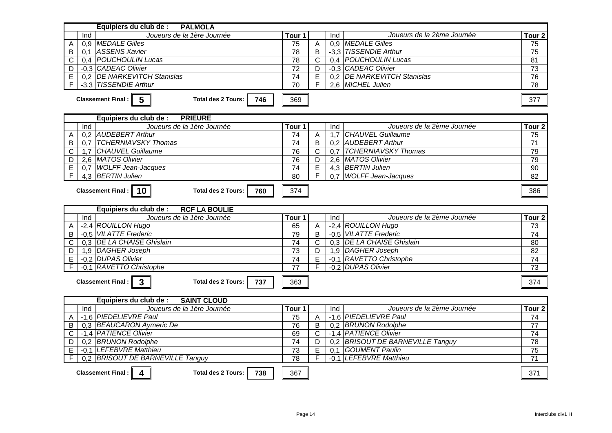| Equipiers du club de :<br><b>PALMOLA</b>                                                     |                      |                     |                  |                                             |                                    |
|----------------------------------------------------------------------------------------------|----------------------|---------------------|------------------|---------------------------------------------|------------------------------------|
| Joueurs de la 1ère Journée<br>Ind                                                            | Tour 1               |                     | Ind              | Joueurs de la 2ème Journée                  | Tour <sub>2</sub>                  |
| 0,9 MEDALE Gilles<br>Α                                                                       | 75                   | A                   |                  | 0.9 MEDALE Gilles                           | 75                                 |
| 0.1 ASSENS Xavier<br>В                                                                       | $\overline{78}$      | B                   |                  | -3,3 TISSENDIE Arthur                       | $\overline{75}$                    |
| 0.4 POUCHOULIN Lucas<br>C                                                                    | 78                   | $\mathsf{C}$        |                  | 0.4 POUCHOULIN Lucas                        | $\overline{81}$                    |
| -0.3 CADEAC Olivier<br>D                                                                     | 72                   | D                   |                  | -0.3 CADEAC Olivier                         | 73                                 |
| E<br>0.2 DE NARKEVITCH Stanislas                                                             | $\overline{74}$      | Ē                   |                  | 0.2 DE NARKEVITCH Stanislas                 | 76                                 |
| -3,3 TISSENDIE Arthur<br>F                                                                   | 70                   | F                   |                  | 2,6 MICHEL Julien                           | $\overline{78}$                    |
| $5\overline{5}$<br>Classement Final: $\parallel$<br><b>Total des 2 Tours:</b><br>746         | 369                  |                     |                  |                                             | 377                                |
| Equipiers du club de :<br><b>PRIEURE</b>                                                     |                      |                     |                  |                                             |                                    |
| Joueurs de la 1ère Journée<br>Ind                                                            | Tour 1               |                     | Ind              | Joueurs de la 2ème Journée                  | Tour <sub>2</sub>                  |
| 0,2 AUDEBERT Arthur<br>Α                                                                     | 74                   | Α                   | $\overline{1,7}$ | <b>CHAUVEL Guillaume</b>                    | 75                                 |
| <b>TCHERNIAVSKY Thomas</b><br>0.7<br>В                                                       | 74                   | $\overline{B}$      |                  | 0,2 AUDEBERT Arthur                         | $\overline{71}$                    |
| 1,7 CHAUVEL Guillaume<br>C                                                                   | 76                   | $\mathsf{C}$        |                  | 0.7 TCHERNIAVSKY Thomas                     | 79                                 |
| D<br>2.6 MATOS Olivier                                                                       | $\overline{76}$      | D                   |                  | 2.6 MATOS Olivier                           | 79                                 |
| 0,7 WOLFF Jean-Jacques<br>E                                                                  | $\overline{74}$      | E                   |                  | 4,3 BERTIN Julien                           | 90                                 |
| 4,3 BERTIN Julien<br>F                                                                       | 80                   | F                   |                  | 0.7 WOLFF Jean-Jacques                      | $\overline{82}$                    |
| Classement Final: $\parallel$<br><b>Total des 2 Tours:</b><br>10<br>760                      | 374                  |                     |                  |                                             | 386                                |
| Equipiers du club de :<br><b>RCF LA BOULIE</b>                                               |                      |                     |                  | Joueurs de la 2ème Journée                  |                                    |
| Joueurs de la 1ère Journée<br>Ind                                                            | Tour 1               |                     | Ind              |                                             | Tour <sub>2</sub>                  |
| -2,4 ROUILLON Hugo<br>A<br>-0,5 VILATTE Frederic<br>B                                        | 65<br>79             | Α<br>$\overline{B}$ |                  | -2,4 ROUILLON Hugo<br>-0,5 VILATTE Frederic | $\overline{73}$<br>$\overline{74}$ |
| 0.3 DE LA CHAISE Ghislain<br>$\overline{C}$                                                  | 74                   | $\overline{C}$      |                  | 0.3 DE LA CHAISE Ghislain                   | 80                                 |
| 1,9 DAGHER Joseph                                                                            | 73                   |                     |                  | 1,9 DAGHER Joseph                           | 82                                 |
| D<br>-0,2 DUPAS Olivier                                                                      | 74                   | D<br>E              |                  | -0,1 RAVETTO Christophe                     | 74                                 |
| E<br>-0,1 RAVETTO Christophe<br>F                                                            | $\overline{77}$      | F                   |                  | -0,2 DUPAS Olivier                          | $\overline{73}$                    |
|                                                                                              |                      |                     |                  |                                             |                                    |
| Classement Final: $\parallel$<br>$\overline{\mathbf{3}}$<br><b>Total des 2 Tours:</b><br>737 | 363                  |                     |                  |                                             | 374                                |
| Equipiers du club de :<br><b>SAINT CLOUD</b>                                                 |                      |                     |                  |                                             |                                    |
| Joueurs de la 1ère Journée<br>Ind                                                            | $\overline{T}$ our 1 |                     | Ind              | Joueurs de la 2ème Journée                  | Tour <sub>2</sub>                  |
| -1,6 PIEDELIEVRE Paul<br>Α                                                                   | 75                   | $\overline{A}$      |                  | -1.6 PIEDELIEVRE Paul                       | 74                                 |
| 0,3 BEAUCARON Aymeric De<br>B                                                                | 76                   | $\overline{B}$      |                  | 0.2 BRUNON Rodolphe                         | $\overline{77}$                    |
| -1,4 <i>PATIENCE Olivier</i><br>C                                                            | 69                   | $\mathsf{C}$        |                  | -1,4 PATIENCE Olivier                       | 74                                 |
| 0.2 BRUNON Rodolphe<br>D                                                                     | $\overline{74}$      | D                   |                  | 0,2 BRISOUT DE BARNEVILLE Tanguy            | $\overline{78}$                    |
| -0.1 LEFEBVRE Matthieu<br>E                                                                  | 73                   | Ē                   |                  | 0,1 GOUMENT Paulin                          | 75                                 |
| F<br>0,2 BRISOUT DE BARNEVILLE Tanguy                                                        | $\overline{78}$      | F                   |                  | -0,1 LEFEBVRE Matthieu                      | $\overline{71}$                    |
| Classement Final : $\parallel 4$<br><b>Total des 2 Tours:</b><br>738                         | 367                  |                     |                  |                                             | 371                                |